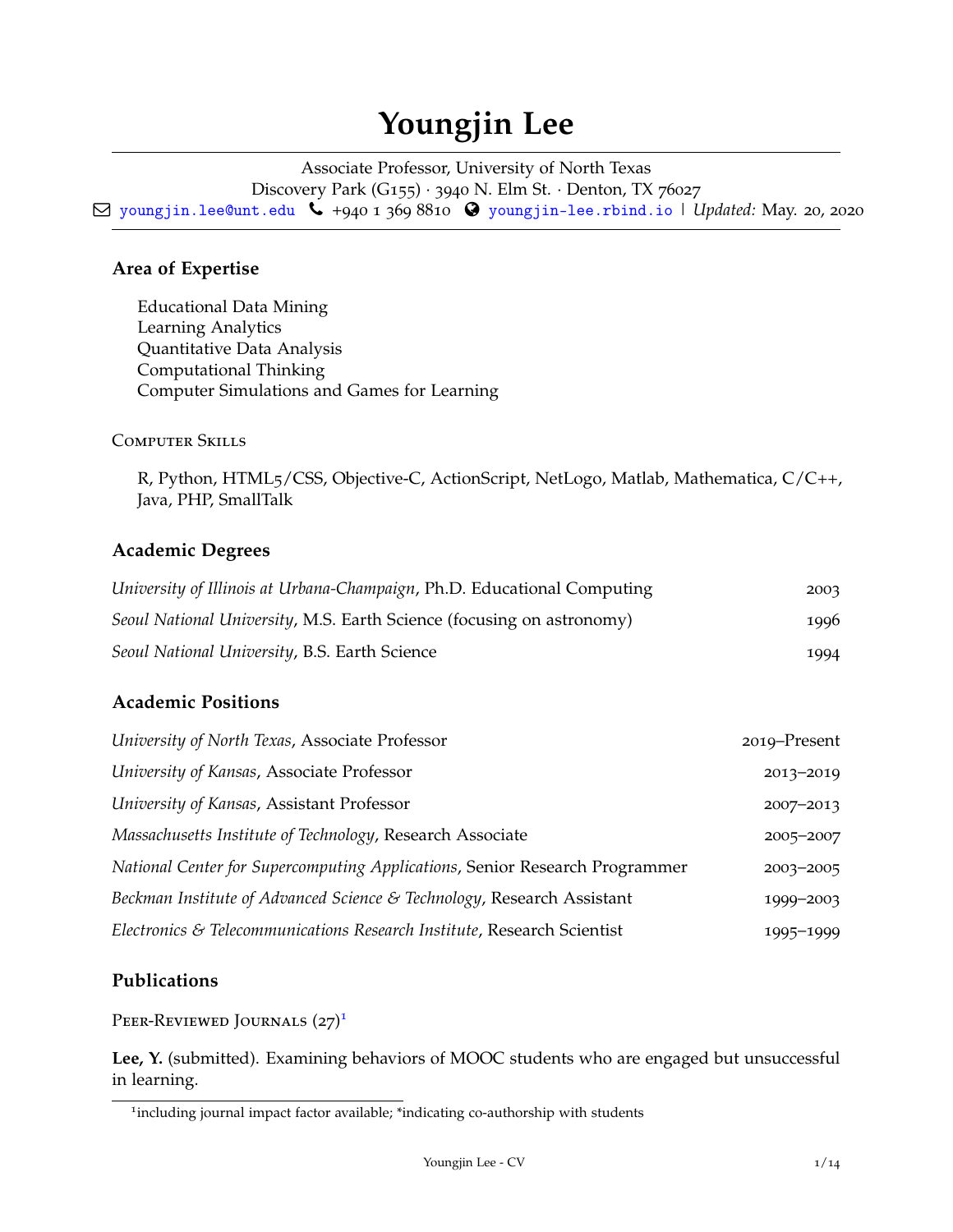# **Youngjin Lee**

Associate Professor, University of North Texas Discovery Park (G155) · 3940 N. Elm St. · Denton, TX 76027 Q [youngjin.lee@unt.edu](mailto:) Ó +940 1 369 8810 [youngjin-lee.rbind.io](http://youngjin-lee.rbind.io) | *Updated:* May. 20, 2020

# **Area of Expertise**

Educational Data Mining Learning Analytics Quantitative Data Analysis Computational Thinking Computer Simulations and Games for Learning

Computer Skills

R, Python, HTML5/CSS, Objective-C, ActionScript, NetLogo, Matlab, Mathematica, C/C++, Java, PHP, SmallTalk

# **Academic Degrees**

| University of Illinois at Urbana-Champaign, Ph.D. Educational Computing | 2003 |
|-------------------------------------------------------------------------|------|
| Seoul National University, M.S. Earth Science (focusing on astronomy)   | 1996 |
| Seoul National University, B.S. Earth Science                           | 1994 |

# **Academic Positions**

| University of North Texas, Associate Professor                              | 2019–Present  |
|-----------------------------------------------------------------------------|---------------|
| University of Kansas, Associate Professor                                   | 2013-2019     |
| University of Kansas, Assistant Professor                                   | $2007 - 2013$ |
| Massachusetts Institute of Technology, Research Associate                   | 2005-2007     |
| National Center for Supercomputing Applications, Senior Research Programmer | 2003-2005     |
| Beckman Institute of Advanced Science & Technology, Research Assistant      | 1999-2003     |
| Electronics & Telecommunications Research Institute, Research Scientist     | 1995-1999     |

# **Publications**

Peer-Reviewed Journals (27)<sup>[1](#page-0-0)</sup>

**Lee, Y.** (submitted). Examining behaviors of MOOC students who are engaged but unsuccessful in learning.

<span id="page-0-0"></span><sup>&</sup>lt;sup>1</sup>including journal impact factor available; \*indicating co-authorship with students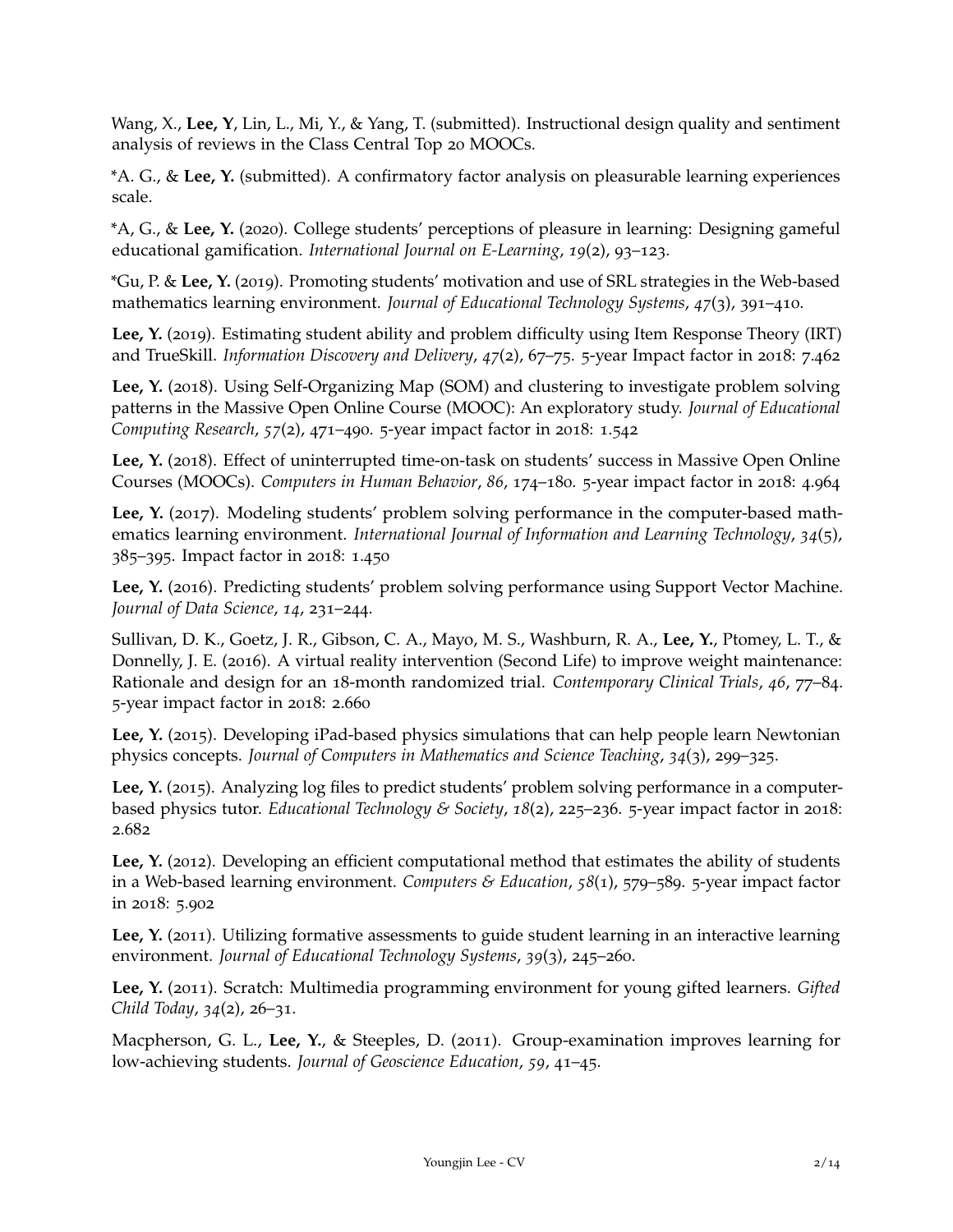Wang, X., **Lee, Y**, Lin, L., Mi, Y., & Yang, T. (submitted). Instructional design quality and sentiment analysis of reviews in the Class Central Top 20 MOOCs.

\*A. G., & **Lee, Y.** (submitted). A confirmatory factor analysis on pleasurable learning experiences scale.

\*A, G., & **Lee, Y.** (2020). College students' perceptions of pleasure in learning: Designing gameful educational gamification. *International Journal on E-Learning*, *19*(2), 93–123.

\*Gu, P. & **Lee, Y.** (2019). Promoting students' motivation and use of SRL strategies in the Web-based mathematics learning environment. *Journal of Educational Technology Systems*, *47*(3), 391–410.

**Lee, Y.** (2019). Estimating student ability and problem difficulty using Item Response Theory (IRT) and TrueSkill. *Information Discovery and Delivery*, *47*(2), 67–75. 5-year Impact factor in 2018: 7.462

**Lee, Y.** (2018). Using Self-Organizing Map (SOM) and clustering to investigate problem solving patterns in the Massive Open Online Course (MOOC): An exploratory study. *Journal of Educational Computing Research*, *57*(2), 471–490. 5-year impact factor in 2018: 1.542

Lee, Y. (2018). Effect of uninterrupted time-on-task on students' success in Massive Open Online Courses (MOOCs). *Computers in Human Behavior*, *86*, 174–180. 5-year impact factor in 2018: 4.964

Lee, Y. (2017). Modeling students' problem solving performance in the computer-based mathematics learning environment. *International Journal of Information and Learning Technology*, *34*(5), 385–395. Impact factor in 2018: 1.450

**Lee, Y.** (2016). Predicting students' problem solving performance using Support Vector Machine. *Journal of Data Science*, *14*, 231–244.

Sullivan, D. K., Goetz, J. R., Gibson, C. A., Mayo, M. S., Washburn, R. A., **Lee, Y.**, Ptomey, L. T., & Donnelly, J. E. (2016). A virtual reality intervention (Second Life) to improve weight maintenance: Rationale and design for an 18-month randomized trial. *Contemporary Clinical Trials*, *46*, 77–84. 5-year impact factor in 2018: 2.660

**Lee, Y.** (2015). Developing iPad-based physics simulations that can help people learn Newtonian physics concepts. *Journal of Computers in Mathematics and Science Teaching*, *34*(3), 299–325.

**Lee, Y.** (2015). Analyzing log files to predict students' problem solving performance in a computerbased physics tutor. *Educational Technology & Society*, *18*(2), 225–236. 5-year impact factor in 2018: 2.682

Lee, Y. (2012). Developing an efficient computational method that estimates the ability of students in a Web-based learning environment. *Computers & Education*, *58*(1), 579–589. 5-year impact factor in 2018: 5.902

Lee, Y. (2011). Utilizing formative assessments to guide student learning in an interactive learning environment. *Journal of Educational Technology Systems*, *39*(3), 245–260.

**Lee, Y.** (2011). Scratch: Multimedia programming environment for young gifted learners. *Gifted Child Today*, *34*(2), 26–31.

Macpherson, G. L., **Lee, Y.**, & Steeples, D. (2011). Group-examination improves learning for low-achieving students. *Journal of Geoscience Education*, *59*, 41–45.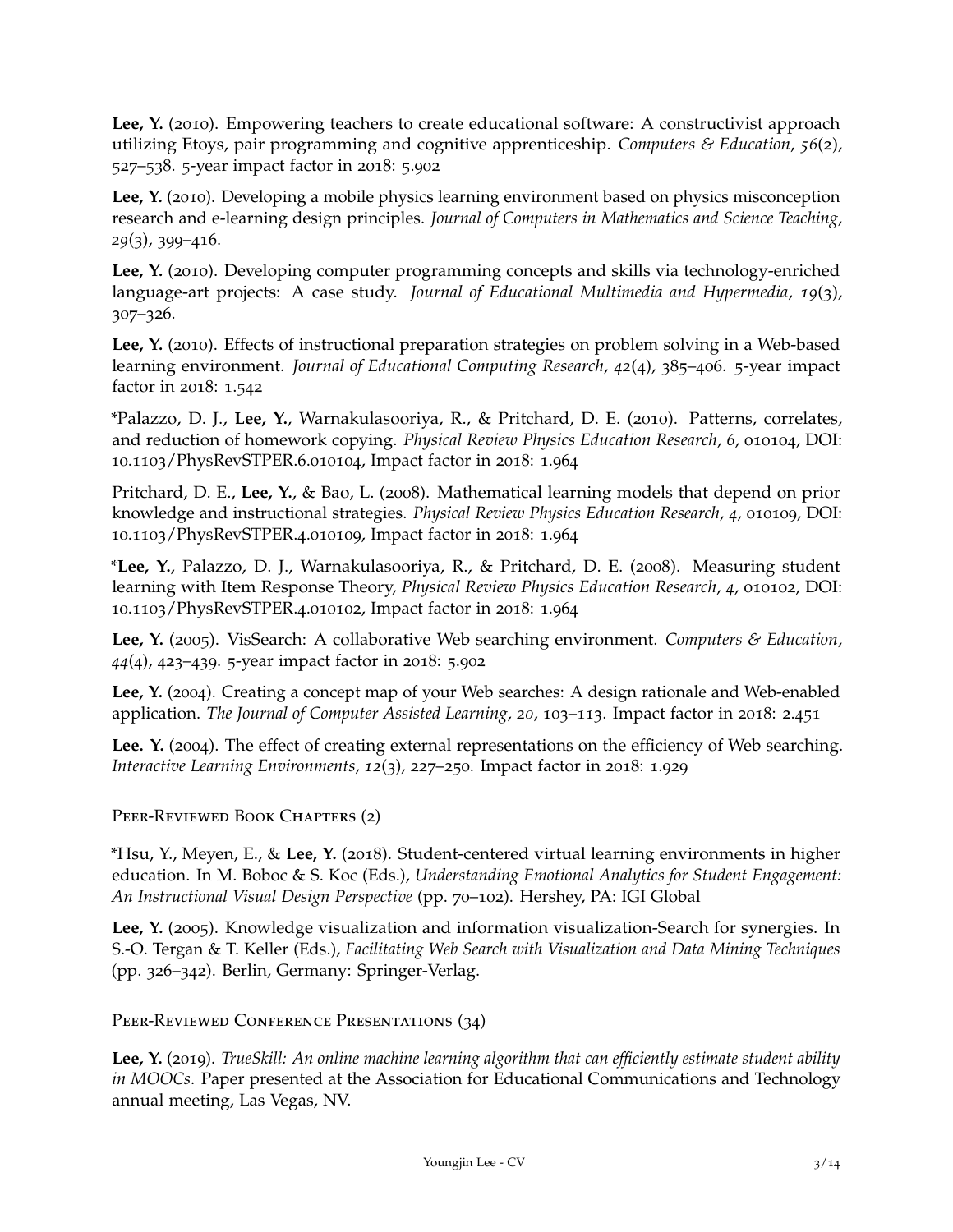Lee, Y. (2010). Empowering teachers to create educational software: A constructivist approach utilizing Etoys, pair programming and cognitive apprenticeship. *Computers & Education*, *56*(2), 527–538. 5-year impact factor in 2018: 5.902

**Lee, Y.** (2010). Developing a mobile physics learning environment based on physics misconception research and e-learning design principles. *Journal of Computers in Mathematics and Science Teaching*, *29*(3), 399–416.

**Lee, Y.** (2010). Developing computer programming concepts and skills via technology-enriched language-art projects: A case study. *Journal of Educational Multimedia and Hypermedia*, *19*(3), 307–326.

**Lee, Y.** (2010). Effects of instructional preparation strategies on problem solving in a Web-based learning environment. *Journal of Educational Computing Research*, *42*(4), 385–406. 5-year impact factor in 2018: 1.542

\*Palazzo, D. J., **Lee, Y.**, Warnakulasooriya, R., & Pritchard, D. E. (2010). Patterns, correlates, and reduction of homework copying. *Physical Review Physics Education Research*, *6*, 010104, DOI: 10.1103/PhysRevSTPER.6.010104, Impact factor in 2018: 1.964

Pritchard, D. E., **Lee, Y.**, & Bao, L. (2008). Mathematical learning models that depend on prior knowledge and instructional strategies. *Physical Review Physics Education Research*, *4*, 010109, DOI: 10.1103/PhysRevSTPER.4.010109, Impact factor in 2018: 1.964

\***Lee, Y.**, Palazzo, D. J., Warnakulasooriya, R., & Pritchard, D. E. (2008). Measuring student learning with Item Response Theory, *Physical Review Physics Education Research*, *4*, 010102, DOI: 10.1103/PhysRevSTPER.4.010102, Impact factor in 2018: 1.964

**Lee, Y.** (2005). VisSearch: A collaborative Web searching environment. *Computers & Education*, *44*(4), 423–439. 5-year impact factor in 2018: 5.902

**Lee, Y.** (2004). Creating a concept map of your Web searches: A design rationale and Web-enabled application. *The Journal of Computer Assisted Learning*, *20*, 103–113. Impact factor in 2018: 2.451

Lee. Y. (2004). The effect of creating external representations on the efficiency of Web searching. *Interactive Learning Environments*, *12*(3), 227–250. Impact factor in 2018: 1.929

PEER-REVIEWED BOOK CHAPTERS (2)

\*Hsu, Y., Meyen, E., & **Lee, Y.** (2018). Student-centered virtual learning environments in higher education. In M. Boboc & S. Koc (Eds.), *Understanding Emotional Analytics for Student Engagement: An Instructional Visual Design Perspective* (pp. 70–102). Hershey, PA: IGI Global

**Lee, Y.** (2005). Knowledge visualization and information visualization-Search for synergies. In S.-O. Tergan & T. Keller (Eds.), *Facilitating Web Search with Visualization and Data Mining Techniques* (pp. 326–342). Berlin, Germany: Springer-Verlag.

PEER-REVIEWED CONFERENCE PRESENTATIONS (34)

**Lee, Y.** (2019). *TrueSkill: An online machine learning algorithm that can efficiently estimate student ability in MOOCs*. Paper presented at the Association for Educational Communications and Technology annual meeting, Las Vegas, NV.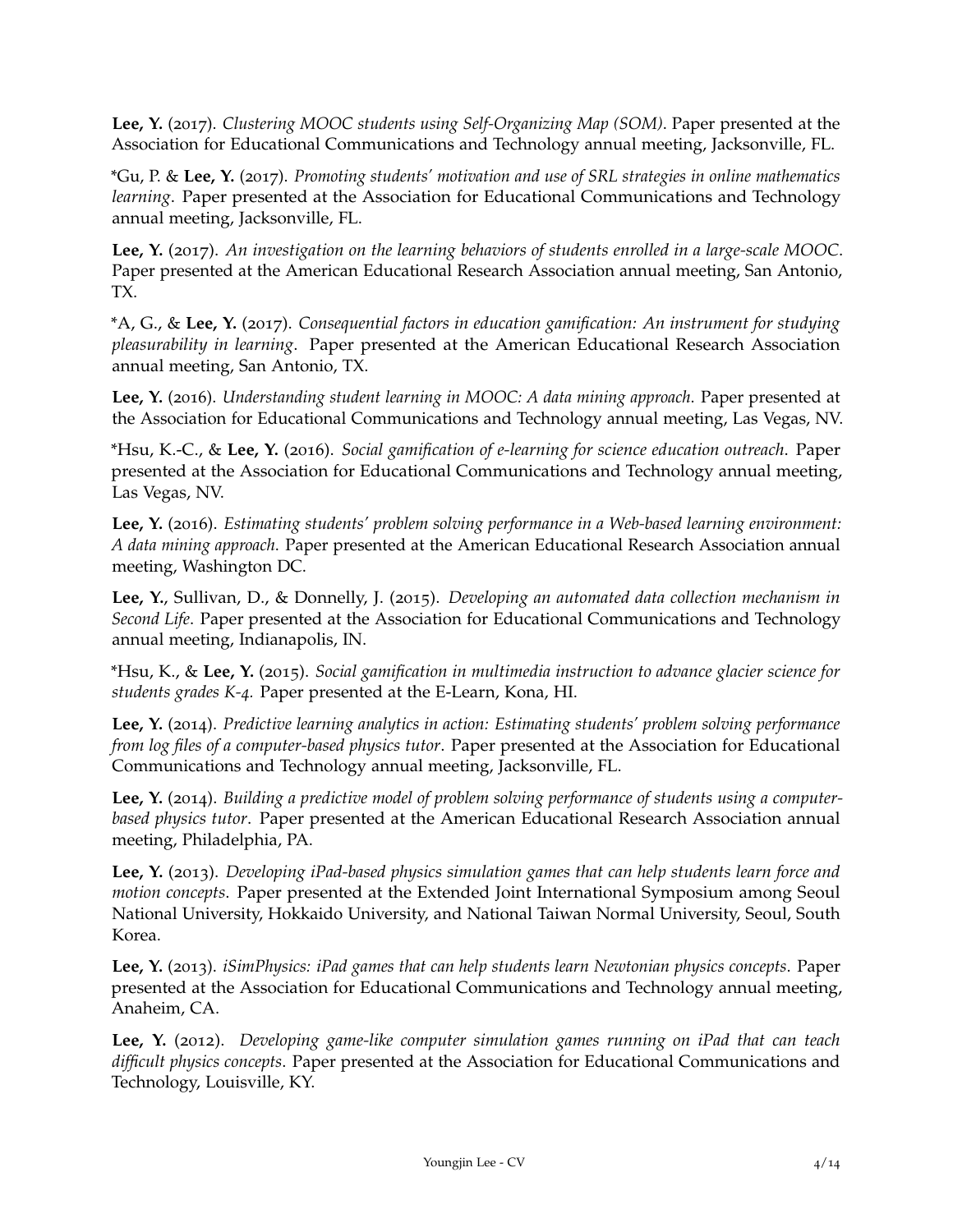**Lee, Y.** (2017). *Clustering MOOC students using Self-Organizing Map (SOM)*. Paper presented at the Association for Educational Communications and Technology annual meeting, Jacksonville, FL.

\*Gu, P. & **Lee, Y.** (2017). *Promoting students' motivation and use of SRL strategies in online mathematics learning*. Paper presented at the Association for Educational Communications and Technology annual meeting, Jacksonville, FL.

**Lee, Y.** (2017). *An investigation on the learning behaviors of students enrolled in a large-scale MOOC*. Paper presented at the American Educational Research Association annual meeting, San Antonio, TX.

\*A, G., & **Lee, Y.** (2017). *Consequential factors in education gamification: An instrument for studying pleasurability in learning*. Paper presented at the American Educational Research Association annual meeting, San Antonio, TX.

**Lee, Y.** (2016). *Understanding student learning in MOOC: A data mining approach*. Paper presented at the Association for Educational Communications and Technology annual meeting, Las Vegas, NV.

\*Hsu, K.-C., & **Lee, Y.** (2016). *Social gamification of e-learning for science education outreach*. Paper presented at the Association for Educational Communications and Technology annual meeting, Las Vegas, NV.

**Lee, Y.** (2016). *Estimating students' problem solving performance in a Web-based learning environment: A data mining approach*. Paper presented at the American Educational Research Association annual meeting, Washington DC.

**Lee, Y.**, Sullivan, D., & Donnelly, J. (2015). *Developing an automated data collection mechanism in Second Life*. Paper presented at the Association for Educational Communications and Technology annual meeting, Indianapolis, IN.

\*Hsu, K., & **Lee, Y.** (2015). *Social gamification in multimedia instruction to advance glacier science for students grades K-4.* Paper presented at the E-Learn, Kona, HI.

**Lee, Y.** (2014). *Predictive learning analytics in action: Estimating students' problem solving performance from log files of a computer-based physics tutor*. Paper presented at the Association for Educational Communications and Technology annual meeting, Jacksonville, FL.

**Lee, Y.** (2014). *Building a predictive model of problem solving performance of students using a computerbased physics tutor*. Paper presented at the American Educational Research Association annual meeting, Philadelphia, PA.

**Lee, Y.** (2013). *Developing iPad-based physics simulation games that can help students learn force and motion concepts*. Paper presented at the Extended Joint International Symposium among Seoul National University, Hokkaido University, and National Taiwan Normal University, Seoul, South Korea.

**Lee, Y.** (2013). *iSimPhysics: iPad games that can help students learn Newtonian physics concepts*. Paper presented at the Association for Educational Communications and Technology annual meeting, Anaheim, CA.

**Lee, Y.** (2012). *Developing game-like computer simulation games running on iPad that can teach difficult physics concepts*. Paper presented at the Association for Educational Communications and Technology, Louisville, KY.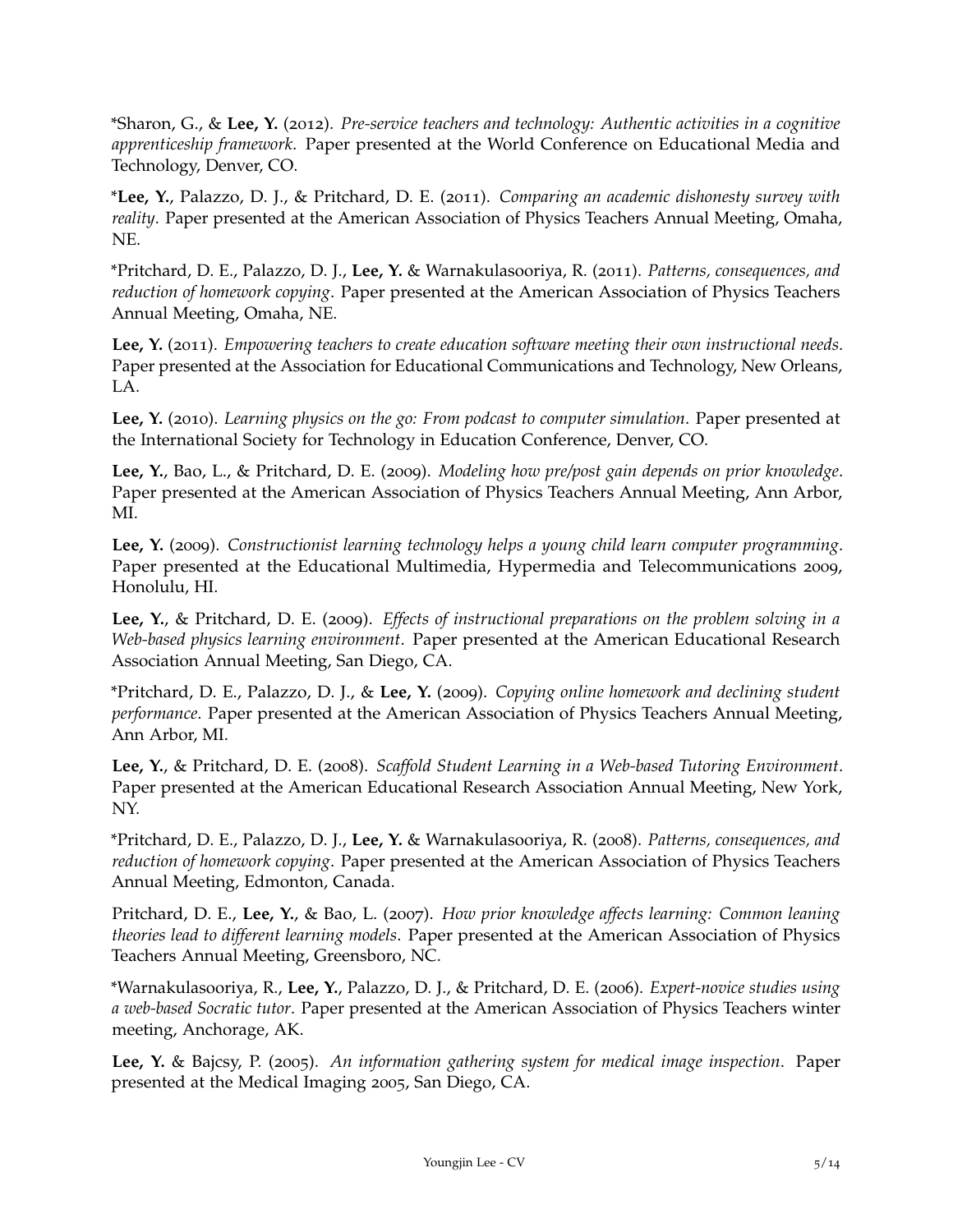\*Sharon, G., & **Lee, Y.** (2012). *Pre-service teachers and technology: Authentic activities in a cognitive apprenticeship framework*. Paper presented at the World Conference on Educational Media and Technology, Denver, CO.

\***Lee, Y.**, Palazzo, D. J., & Pritchard, D. E. (2011). *Comparing an academic dishonesty survey with reality*. Paper presented at the American Association of Physics Teachers Annual Meeting, Omaha, NE.

\*Pritchard, D. E., Palazzo, D. J., **Lee, Y.** & Warnakulasooriya, R. (2011). *Patterns, consequences, and reduction of homework copying*. Paper presented at the American Association of Physics Teachers Annual Meeting, Omaha, NE.

**Lee, Y.** (2011). *Empowering teachers to create education software meeting their own instructional needs*. Paper presented at the Association for Educational Communications and Technology, New Orleans, LA.

**Lee, Y.** (2010). *Learning physics on the go: From podcast to computer simulation*. Paper presented at the International Society for Technology in Education Conference, Denver, CO.

**Lee, Y.**, Bao, L., & Pritchard, D. E. (2009). *Modeling how pre/post gain depends on prior knowledge*. Paper presented at the American Association of Physics Teachers Annual Meeting, Ann Arbor, MI.

**Lee, Y.** (2009). *Constructionist learning technology helps a young child learn computer programming*. Paper presented at the Educational Multimedia, Hypermedia and Telecommunications 2009, Honolulu, HI.

**Lee, Y.**, & Pritchard, D. E. (2009). *Effects of instructional preparations on the problem solving in a Web-based physics learning environment*. Paper presented at the American Educational Research Association Annual Meeting, San Diego, CA.

\*Pritchard, D. E., Palazzo, D. J., & **Lee, Y.** (2009). *Copying online homework and declining student performance*. Paper presented at the American Association of Physics Teachers Annual Meeting, Ann Arbor, MI.

**Lee, Y.**, & Pritchard, D. E. (2008). *Scaffold Student Learning in a Web-based Tutoring Environment*. Paper presented at the American Educational Research Association Annual Meeting, New York, NY.

\*Pritchard, D. E., Palazzo, D. J., **Lee, Y.** & Warnakulasooriya, R. (2008). *Patterns, consequences, and reduction of homework copying*. Paper presented at the American Association of Physics Teachers Annual Meeting, Edmonton, Canada.

Pritchard, D. E., **Lee, Y.**, & Bao, L. (2007). *How prior knowledge affects learning: Common leaning theories lead to different learning models*. Paper presented at the American Association of Physics Teachers Annual Meeting, Greensboro, NC.

\*Warnakulasooriya, R., **Lee, Y.**, Palazzo, D. J., & Pritchard, D. E. (2006). *Expert-novice studies using a web-based Socratic tutor*. Paper presented at the American Association of Physics Teachers winter meeting, Anchorage, AK.

**Lee, Y.** & Bajcsy, P. (2005). *An information gathering system for medical image inspection*. Paper presented at the Medical Imaging 2005, San Diego, CA.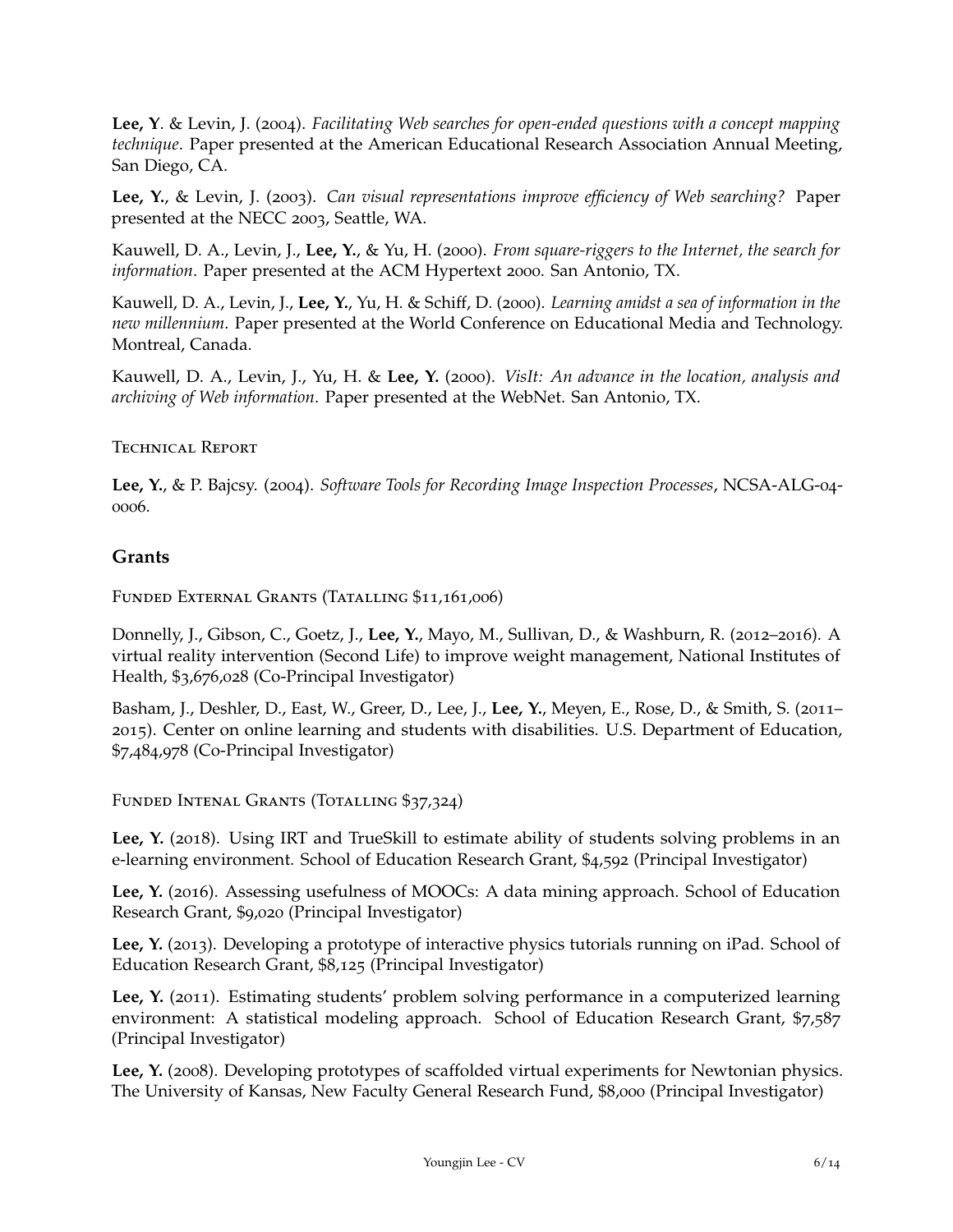**Lee, Y**. & Levin, J. (2004). *Facilitating Web searches for open-ended questions with a concept mapping technique*. Paper presented at the American Educational Research Association Annual Meeting, San Diego, CA.

**Lee, Y.**, & Levin, J. (2003). *Can visual representations improve efficiency of Web searching?* Paper presented at the NECC 2003, Seattle, WA.

Kauwell, D. A., Levin, J., **Lee, Y.**, & Yu, H. (2000). *From square-riggers to the Internet, the search for information*. Paper presented at the ACM Hypertext 2000. San Antonio, TX.

Kauwell, D. A., Levin, J., **Lee, Y.**, Yu, H. & Schiff, D. (2000). *Learning amidst a sea of information in the new millennium*. Paper presented at the World Conference on Educational Media and Technology. Montreal, Canada.

Kauwell, D. A., Levin, J., Yu, H. & **Lee, Y.** (2000). *VisIt: An advance in the location, analysis and archiving of Web information*. Paper presented at the WebNet. San Antonio, TX.

#### Technical Report

**Lee, Y.**, & P. Bajcsy. (2004). *Software Tools for Recording Image Inspection Processes*, NCSA-ALG-04- 0006.

# **Grants**

Funded External Grants (Tatalling \$11,161,006)

Donnelly, J., Gibson, C., Goetz, J., **Lee, Y.**, Mayo, M., Sullivan, D., & Washburn, R. (2012–2016). A virtual reality intervention (Second Life) to improve weight management, National Institutes of Health, \$3,676,028 (Co-Principal Investigator)

Basham, J., Deshler, D., East, W., Greer, D., Lee, J., **Lee, Y.**, Meyen, E., Rose, D., & Smith, S. (2011– 2015). Center on online learning and students with disabilities. U.S. Department of Education, \$7,484,978 (Co-Principal Investigator)

Funded Intenal Grants (Totalling \$37,324)

Lee, Y. (2018). Using IRT and TrueSkill to estimate ability of students solving problems in an e-learning environment. School of Education Research Grant, \$4,592 (Principal Investigator)

Lee, Y. (2016). Assessing usefulness of MOOCs: A data mining approach. School of Education Research Grant, \$9,020 (Principal Investigator)

**Lee, Y.** (2013). Developing a prototype of interactive physics tutorials running on iPad. School of Education Research Grant, \$8,125 (Principal Investigator)

Lee, Y. (2011). Estimating students' problem solving performance in a computerized learning environment: A statistical modeling approach. School of Education Research Grant, \$7,587 (Principal Investigator)

**Lee, Y.** (2008). Developing prototypes of scaffolded virtual experiments for Newtonian physics. The University of Kansas, New Faculty General Research Fund, \$8,000 (Principal Investigator)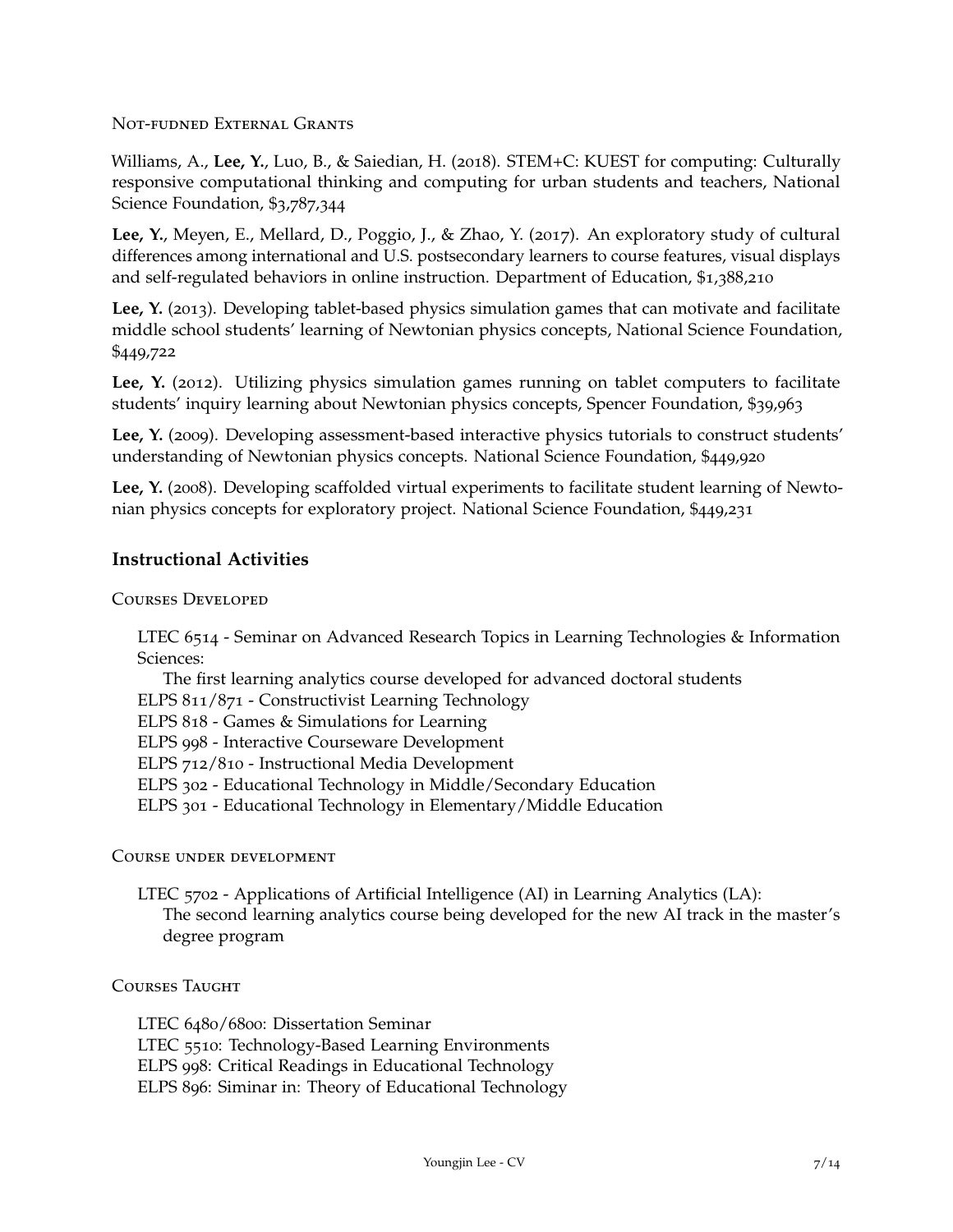Not-fudned External Grants

Williams, A., **Lee, Y.**, Luo, B., & Saiedian, H. (2018). STEM+C: KUEST for computing: Culturally responsive computational thinking and computing for urban students and teachers, National Science Foundation, \$3,787,344

**Lee, Y.**, Meyen, E., Mellard, D., Poggio, J., & Zhao, Y. (2017). An exploratory study of cultural differences among international and U.S. postsecondary learners to course features, visual displays and self-regulated behaviors in online instruction. Department of Education, \$1,388,210

Lee, Y. (2013). Developing tablet-based physics simulation games that can motivate and facilitate middle school students' learning of Newtonian physics concepts, National Science Foundation, \$449,722

Lee, Y. (2012). Utilizing physics simulation games running on tablet computers to facilitate students' inquiry learning about Newtonian physics concepts, Spencer Foundation, \$39,963

Lee, Y. (2009). Developing assessment-based interactive physics tutorials to construct students' understanding of Newtonian physics concepts. National Science Foundation, \$449,920

**Lee, Y.** (2008). Developing scaffolded virtual experiments to facilitate student learning of Newtonian physics concepts for exploratory project. National Science Foundation, \$449,231

# **Instructional Activities**

Courses Developed

LTEC 6514 - Seminar on Advanced Research Topics in Learning Technologies & Information Sciences:

The first learning analytics course developed for advanced doctoral students

ELPS 811/871 - Constructivist Learning Technology

ELPS 818 - Games & Simulations for Learning

ELPS 998 - Interactive Courseware Development

ELPS 712/810 - Instructional Media Development

ELPS 302 - Educational Technology in Middle/Secondary Education

ELPS 301 - Educational Technology in Elementary/Middle Education

Course under development

LTEC 5702 - Applications of Artificial Intelligence (AI) in Learning Analytics (LA): The second learning analytics course being developed for the new AI track in the master's degree program

#### Courses Taught

LTEC 6480/6800: Dissertation Seminar LTEC 5510: Technology-Based Learning Environments ELPS 998: Critical Readings in Educational Technology ELPS 896: Siminar in: Theory of Educational Technology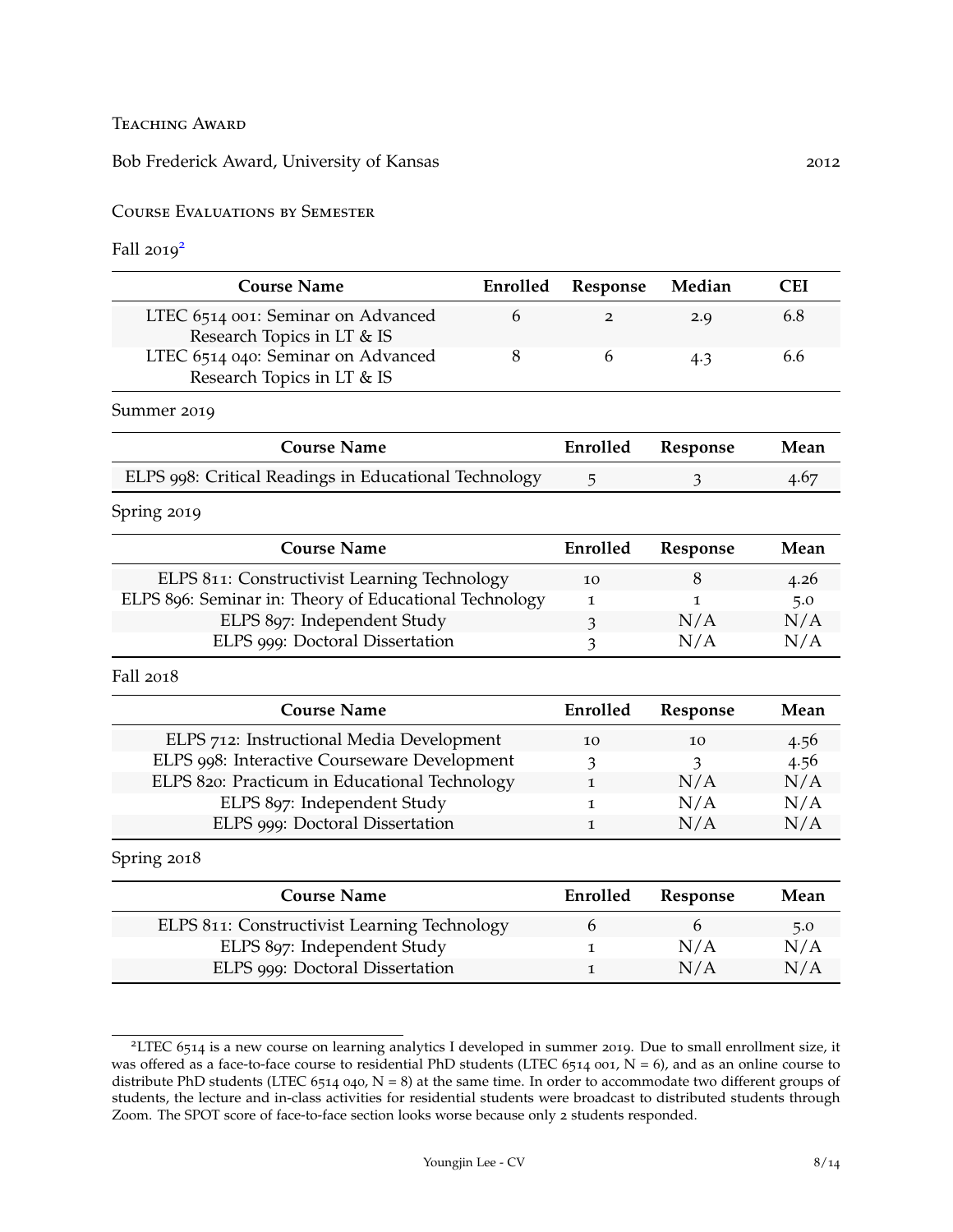**TEACHING AWARD** 

Bob Frederick Award, University of Kansas 2012

Course Evaluations by Semester

Fall  $2019^2$  $2019^2$ 

| <b>Course Name</b>                                               | Enrolled Response Median |     | <b>CEI</b> |
|------------------------------------------------------------------|--------------------------|-----|------------|
| LTEC 6514 001: Seminar on Advanced<br>Research Topics in LT & IS |                          | 2.Q | 6.8        |
| LTEC 6514 040: Seminar on Advanced<br>Research Topics in LT & IS |                          | 4.3 | 6.6        |

Summer 2019

| <b>Course Name</b>                                    | Enrolled Response | Mean |
|-------------------------------------------------------|-------------------|------|
| ELPS 998: Critical Readings in Educational Technology |                   | 4.67 |

Spring 2019

| <b>Course Name</b>                                     | Enrolled | Response | Mean |
|--------------------------------------------------------|----------|----------|------|
| ELPS 811: Constructivist Learning Technology           | 10       |          | 4.26 |
| ELPS 896: Seminar in: Theory of Educational Technology |          |          | 5.0  |
| ELPS 897: Independent Study                            |          | N/A      | N/A  |
| ELPS 999: Doctoral Dissertation                        |          | N/A      | N/A  |

Fall 2018

| <b>Course Name</b>                            | Enrolled | Response | Mean |
|-----------------------------------------------|----------|----------|------|
| ELPS 712: Instructional Media Development     | 10       | 10       | 4.56 |
| ELPS 998: Interactive Courseware Development  |          | 3        | 4.56 |
| ELPS 820: Practicum in Educational Technology |          | N/A      | N/A  |
| ELPS 897: Independent Study                   |          | N/A      | N/A  |
| ELPS 999: Doctoral Dissertation               |          | N/A      | N/A  |

#### Spring 2018

| <b>Course Name</b>                           | Enrolled | Response | Mean |
|----------------------------------------------|----------|----------|------|
| ELPS 811: Constructivist Learning Technology |          |          | 5.0  |
| ELPS 897: Independent Study                  |          | N/A      | N/A  |
| ELPS 999: Doctoral Dissertation              |          | N/A      | N/A  |

<span id="page-7-0"></span><sup>2</sup>LTEC 6514 is a new course on learning analytics I developed in summer 2019. Due to small enrollment size, it was offered as a face-to-face course to residential PhD students (LTEC 6514 001,  $N = 6$ ), and as an online course to distribute PhD students (LTEC 6514 040,  $N = 8$ ) at the same time. In order to accommodate two different groups of students, the lecture and in-class activities for residential students were broadcast to distributed students through Zoom. The SPOT score of face-to-face section looks worse because only 2 students responded.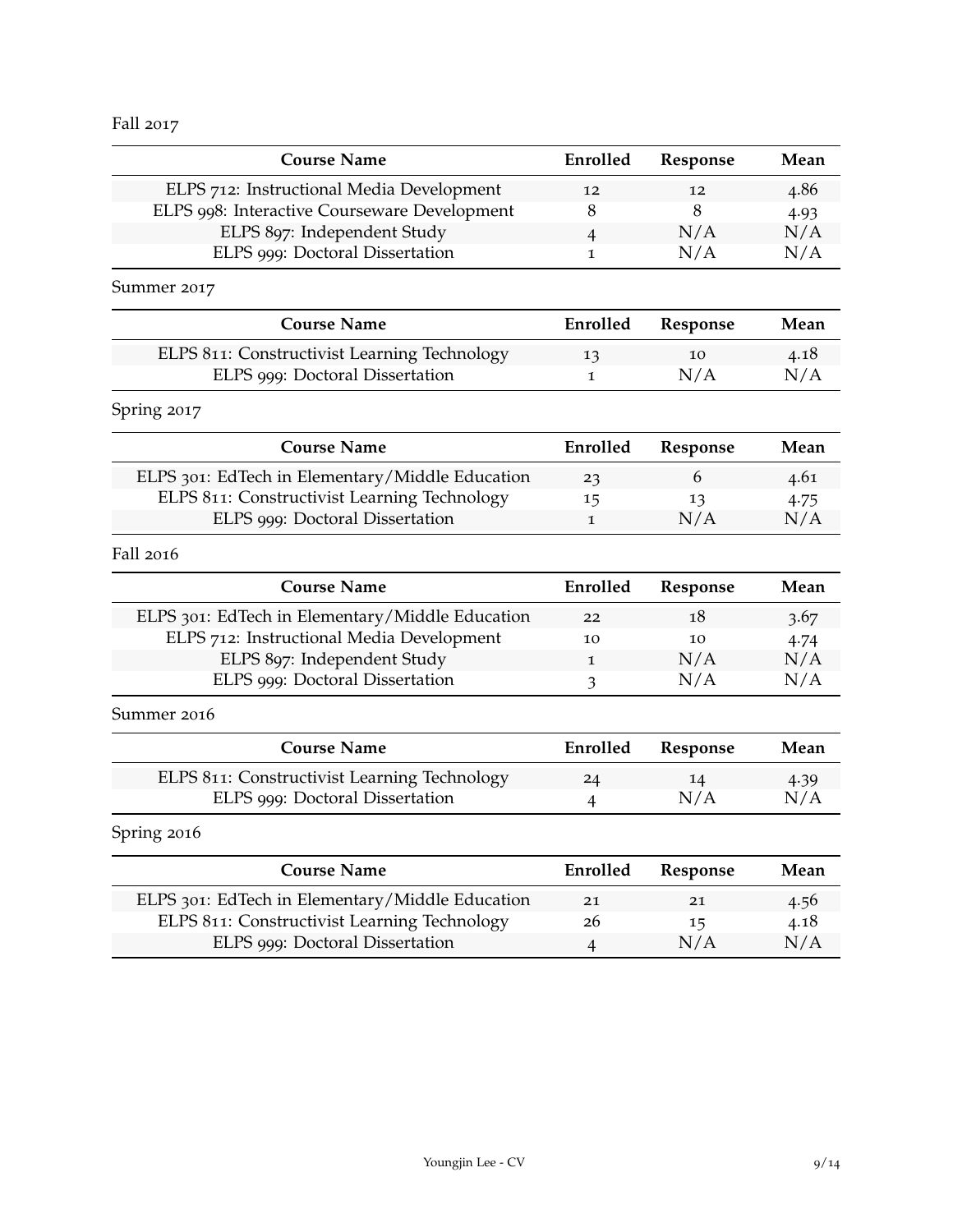Fall 2017

| <b>Course Name</b>                                                                              | Enrolled       | Response | Mean |
|-------------------------------------------------------------------------------------------------|----------------|----------|------|
| ELPS 712: Instructional Media Development                                                       | 12             | 12       | 4.86 |
| ELPS 998: Interactive Courseware Development                                                    | 8              | 8        | 4.93 |
| ELPS 897: Independent Study                                                                     | $\overline{4}$ | N/A      | N/A  |
| ELPS 999: Doctoral Dissertation                                                                 | $\mathbf{1}$   | N/A      | N/A  |
| Summer 2017                                                                                     |                |          |      |
| <b>Course Name</b>                                                                              | Enrolled       | Response | Mean |
| ELPS 811: Constructivist Learning Technology                                                    | 13             | 10       | 4.18 |
| ELPS 999: Doctoral Dissertation                                                                 | 1              | N/A      | N/A  |
| Spring 2017                                                                                     |                |          |      |
| <b>Course Name</b>                                                                              | Enrolled       | Response | Mean |
| ELPS 301: EdTech in Elementary/Middle Education                                                 | 23             | 6        | 4.61 |
| ELPS 811: Constructivist Learning Technology                                                    | 15             | 13       | 4.75 |
| ELPS 999: Doctoral Dissertation                                                                 | $\mathbf 1$    | N/A      | N/A  |
| Fall 2016                                                                                       |                |          |      |
| <b>Course Name</b>                                                                              | Enrolled       | Response | Mean |
| ELPS 301: EdTech in Elementary/Middle Education                                                 | 22             | 18       | 3.67 |
| ELPS 712: Instructional Media Development                                                       | 10             | 10       | 4.74 |
| ELPS 897: Independent Study                                                                     | 1              | N/A      | N/A  |
| ELPS 999: Doctoral Dissertation                                                                 | 3              | N/A      | N/A  |
| Summer 2016                                                                                     |                |          |      |
| <b>Course Name</b>                                                                              | Enrolled       | Response | Mean |
| ELPS 811: Constructivist Learning Technology                                                    | 24             | 14       | 4.39 |
| ELPS 999: Doctoral Dissertation                                                                 | 4              | N/A      | N/A  |
| Spring 2016                                                                                     |                |          |      |
| <b>Course Name</b>                                                                              | Enrolled       | Response | Mean |
|                                                                                                 |                | 21       | 4.56 |
|                                                                                                 | 21             |          |      |
| ELPS 301: EdTech in Elementary/Middle Education<br>ELPS 811: Constructivist Learning Technology | 26             | 15       | 4.18 |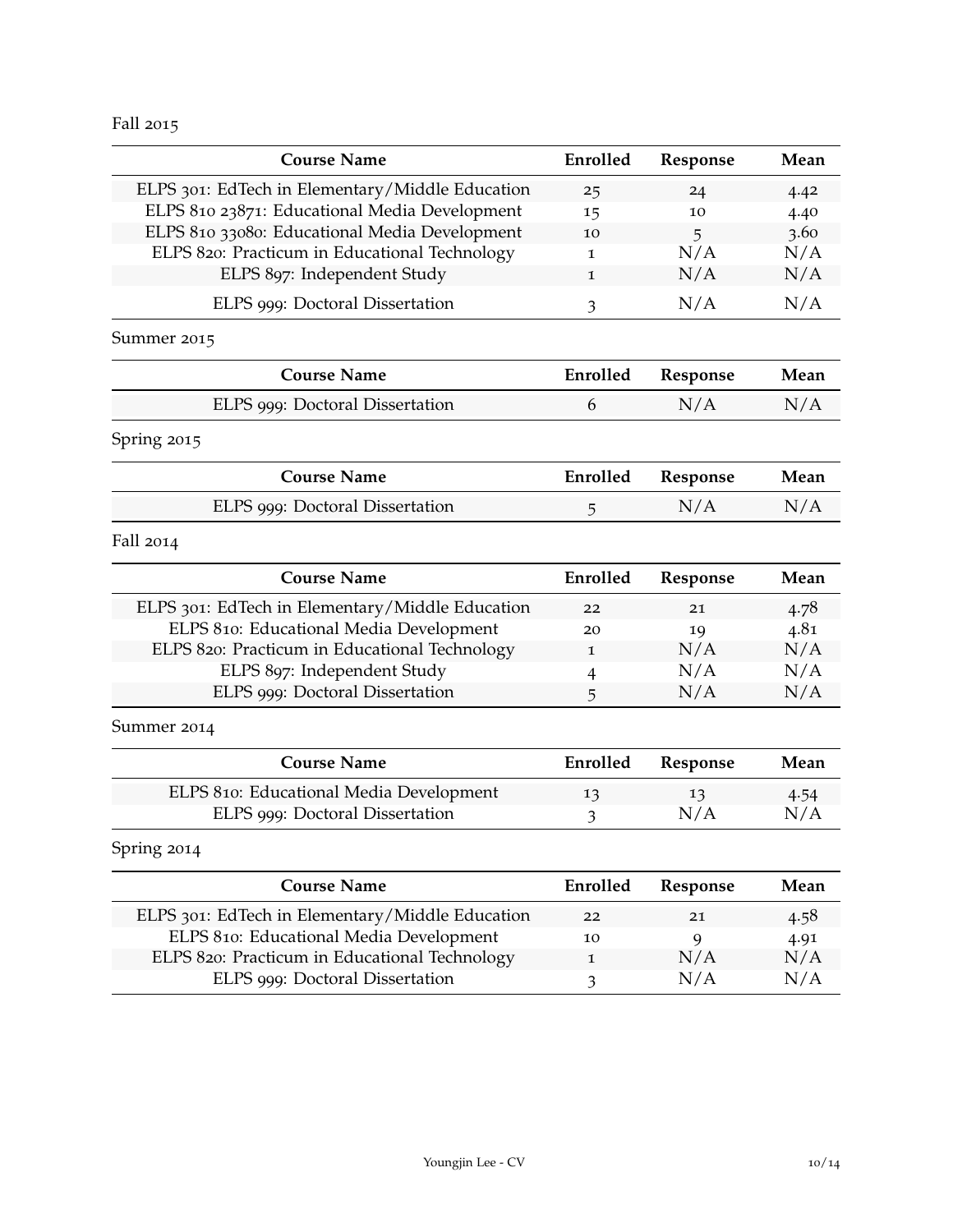Fall 2015

| <b>Course Name</b>                              | Enrolled     | Response | Mean |
|-------------------------------------------------|--------------|----------|------|
| ELPS 301: EdTech in Elementary/Middle Education | 25           | 24       | 4.42 |
| ELPS 810 23871: Educational Media Development   | 15           | 10       | 4.40 |
| ELPS 810 33080: Educational Media Development   | 10           | 5        | 3.60 |
| ELPS 820: Practicum in Educational Technology   | $\mathbf{I}$ | N/A      | N/A  |
| ELPS 897: Independent Study                     | 1            | N/A      | N/A  |
| ELPS 999: Doctoral Dissertation                 | 3            | N/A      | N/A  |
| Summer 2015                                     |              |          |      |
| <b>Course Name</b>                              | Enrolled     | Response | Mean |
| ELPS 999: Doctoral Dissertation                 | 6            | N/A      | N/A  |
| Spring 2015                                     |              |          |      |
| <b>Course Name</b>                              | Enrolled     | Response | Mean |
| ELPS 999: Doctoral Dissertation                 | 5            | N/A      | N/A  |
| Fall 2014                                       |              |          |      |
| <b>Course Name</b>                              | Enrolled     | Response | Mean |
| ELPS 301: EdTech in Elementary/Middle Education | 22           | 21       | 4.78 |
| ELPS 810: Educational Media Development         | 20           | 19       | 4.81 |
| ELPS 820: Practicum in Educational Technology   | 1            | N/A      | N/A  |
| ELPS 897: Independent Study                     | 4            | N/A      | N/A  |
| ELPS 999: Doctoral Dissertation                 | 5            | N/A      | N/A  |
| Summer 2014                                     |              |          |      |
| <b>Course Name</b>                              | Enrolled     | Response | Mean |
| ELPS 810: Educational Media Development         | 13           | 13       | 4.54 |
| ELPS 999: Doctoral Dissertation                 | 3            | N/A      | N/A  |
| Spring 2014                                     |              |          |      |
| <b>Course Name</b>                              | Enrolled     | Response | Mean |
| ELPS 301: EdTech in Elementary/Middle Education | 22           | 21       | 4.58 |
| ELPS 810: Educational Media Development         | 10           | 9        | 4.91 |
| ELPS 820: Practicum in Educational Technology   | 1            | N/A      | N/A  |
| ELPS 999: Doctoral Dissertation                 | 3            | N/A      | N/A  |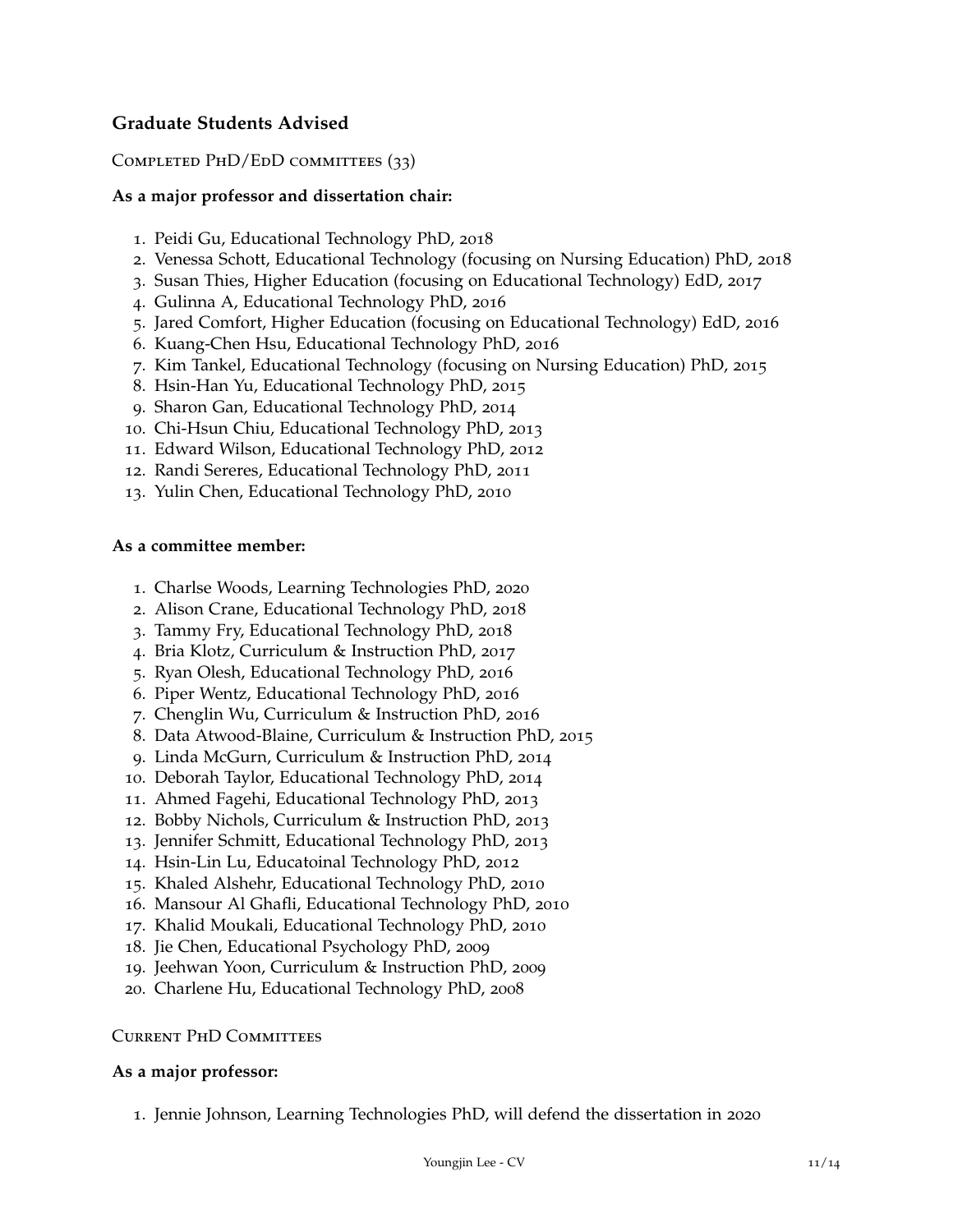# **Graduate Students Advised**

#### COMPLETED PHD/EDD COMMITTEES (33)

#### **As a major professor and dissertation chair:**

- . Peidi Gu, Educational Technology PhD, 2018
- . Venessa Schott, Educational Technology (focusing on Nursing Education) PhD, 2018
- . Susan Thies, Higher Education (focusing on Educational Technology) EdD, 2017
- . Gulinna A, Educational Technology PhD, 2016
- . Jared Comfort, Higher Education (focusing on Educational Technology) EdD, 2016
- . Kuang-Chen Hsu, Educational Technology PhD, 2016
- . Kim Tankel, Educational Technology (focusing on Nursing Education) PhD, 2015
- . Hsin-Han Yu, Educational Technology PhD, 2015
- . Sharon Gan, Educational Technology PhD, 2014
- . Chi-Hsun Chiu, Educational Technology PhD, 2013
- . Edward Wilson, Educational Technology PhD, 2012
- . Randi Sereres, Educational Technology PhD, 2011
- . Yulin Chen, Educational Technology PhD, 2010

#### **As a committee member:**

- . Charlse Woods, Learning Technologies PhD, 2020
- . Alison Crane, Educational Technology PhD, 2018
- . Tammy Fry, Educational Technology PhD, 2018
- . Bria Klotz, Curriculum & Instruction PhD, 2017
- . Ryan Olesh, Educational Technology PhD, 2016
- . Piper Wentz, Educational Technology PhD, 2016
- . Chenglin Wu, Curriculum & Instruction PhD, 2016
- . Data Atwood-Blaine, Curriculum & Instruction PhD, 2015
- . Linda McGurn, Curriculum & Instruction PhD, 2014
- . Deborah Taylor, Educational Technology PhD, 2014
- . Ahmed Fagehi, Educational Technology PhD, 2013
- . Bobby Nichols, Curriculum & Instruction PhD, 2013
- . Jennifer Schmitt, Educational Technology PhD, 2013
- . Hsin-Lin Lu, Educatoinal Technology PhD, 2012
- . Khaled Alshehr, Educational Technology PhD, 2010
- . Mansour Al Ghafli, Educational Technology PhD, 2010
- . Khalid Moukali, Educational Technology PhD, 2010
- . Jie Chen, Educational Psychology PhD, 2009
- . Jeehwan Yoon, Curriculum & Instruction PhD, 2009
- . Charlene Hu, Educational Technology PhD, 2008

#### Current PhD Committees

#### **As a major professor:**

. Jennie Johnson, Learning Technologies PhD, will defend the dissertation in 2020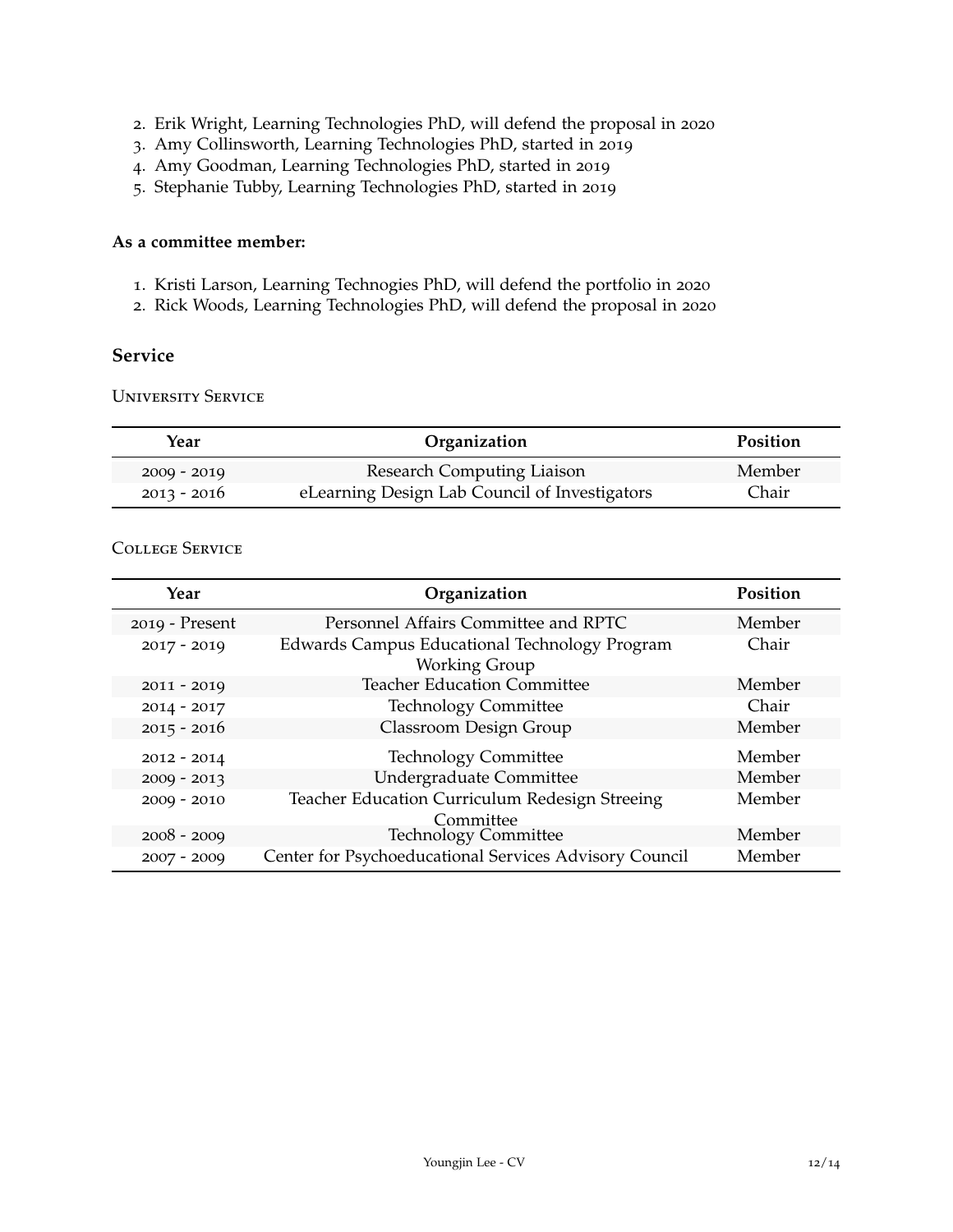- . Erik Wright, Learning Technologies PhD, will defend the proposal in 2020
- . Amy Collinsworth, Learning Technologies PhD, started in 2019
- . Amy Goodman, Learning Technologies PhD, started in 2019
- . Stephanie Tubby, Learning Technologies PhD, started in 2019

# **As a committee member:**

- . Kristi Larson, Learning Technogies PhD, will defend the portfolio in 2020
- . Rick Woods, Learning Technologies PhD, will defend the proposal in 2020

#### **Service**

University Service

| Year          | Organization                                  | Position |
|---------------|-----------------------------------------------|----------|
| $2009 - 2019$ | <b>Research Computing Liaison</b>             | Member   |
| $2013 - 2016$ | eLearning Design Lab Council of Investigators | Chair    |

# College Service

| Year           | Organization                                                          | <b>Position</b> |
|----------------|-----------------------------------------------------------------------|-----------------|
| 2019 - Present | Personnel Affairs Committee and RPTC                                  | Member          |
| $2017 - 2019$  | Edwards Campus Educational Technology Program<br><b>Working Group</b> | Chair           |
| $2011 - 2019$  | <b>Teacher Education Committee</b>                                    | Member          |
| $2014 - 2017$  | <b>Technology Committee</b>                                           | Chair           |
| $2015 - 2016$  | Classroom Design Group                                                | Member          |
| $2012 - 2014$  | <b>Technology Committee</b>                                           | Member          |
| $2009 - 2013$  | <b>Undergraduate Committee</b>                                        | Member          |
| $2009 - 2010$  | Teacher Education Curriculum Redesign Streeing<br>Committee           | Member          |
| $2008 - 2009$  | <b>Technology Committee</b>                                           | Member          |
| $2007 - 2009$  | Center for Psychoeducational Services Advisory Council                | Member          |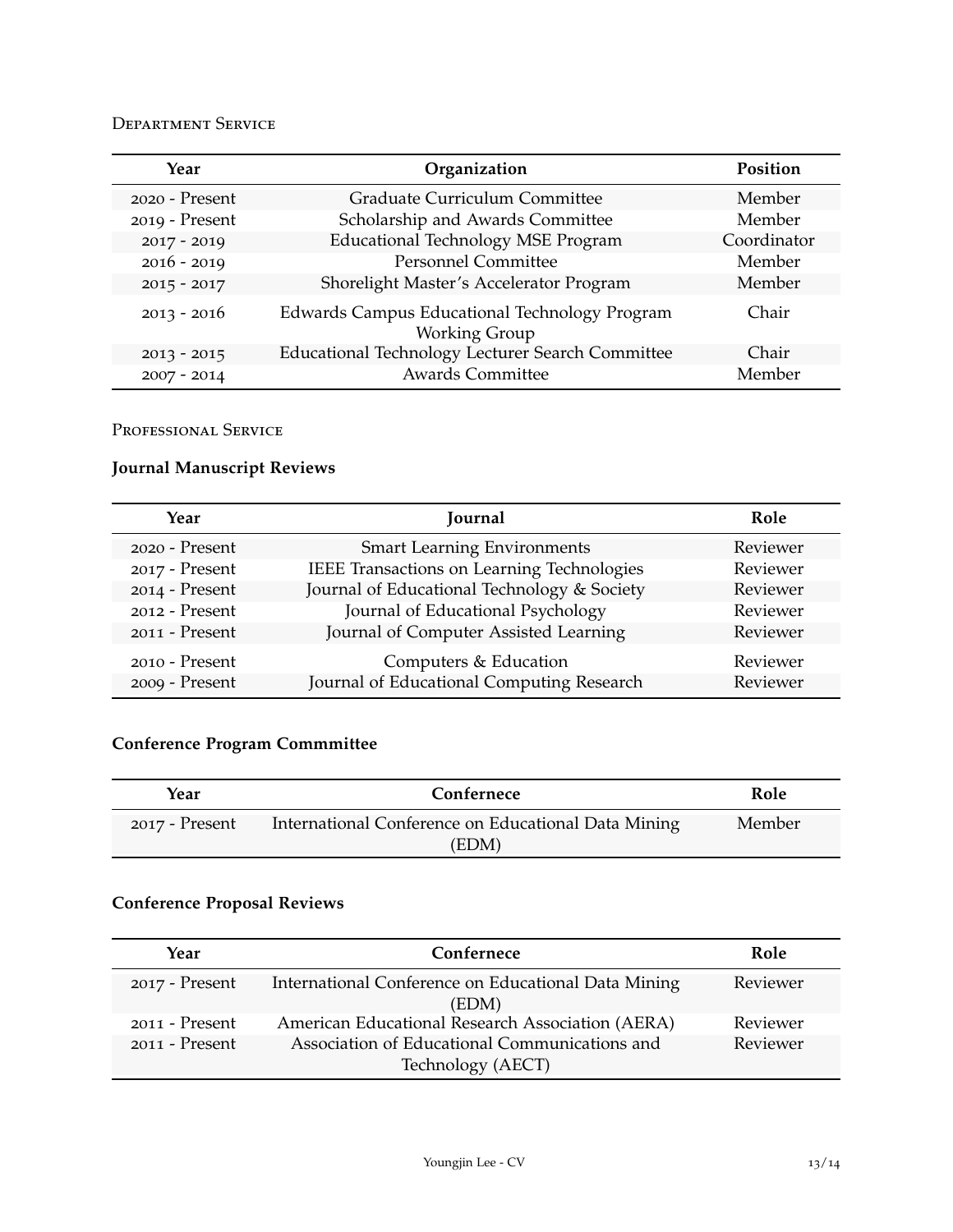# Department Service

| Year           | Organization                                                          | Position    |
|----------------|-----------------------------------------------------------------------|-------------|
| 2020 - Present | Graduate Curriculum Committee                                         | Member      |
| 2019 - Present | Scholarship and Awards Committee                                      | Member      |
| $2017 - 2019$  | <b>Educational Technology MSE Program</b>                             | Coordinator |
| $2016 - 2019$  | <b>Personnel Committee</b>                                            | Member      |
| $2015 - 2017$  | Shorelight Master's Accelerator Program                               | Member      |
| $2013 - 2016$  | Edwards Campus Educational Technology Program<br><b>Working Group</b> | Chair       |
| $2013 - 2015$  | Educational Technology Lecturer Search Committee                      | Chair       |
| $2007 - 2014$  | <b>Awards Committee</b>                                               | Member      |

# Professional Service

# **Journal Manuscript Reviews**

| Year           | Journal                                     | Role     |
|----------------|---------------------------------------------|----------|
| 2020 - Present | <b>Smart Learning Environments</b>          | Reviewer |
| 2017 - Present | IEEE Transactions on Learning Technologies  | Reviewer |
| 2014 - Present | Journal of Educational Technology & Society | Reviewer |
| 2012 - Present | Journal of Educational Psychology           | Reviewer |
| 2011 - Present | Journal of Computer Assisted Learning       | Reviewer |
| 2010 - Present | Computers & Education                       | Reviewer |
| 2009 - Present | Journal of Educational Computing Research   | Reviewer |

# **Conference Program Commmittee**

| Year           | Confernece                                          | Role   |
|----------------|-----------------------------------------------------|--------|
| 2017 - Present | International Conference on Educational Data Mining | Member |
|                | (EDM)                                               |        |

# **Conference Proposal Reviews**

| Year             | Confernece                                                         | Role     |
|------------------|--------------------------------------------------------------------|----------|
| 2017 - Present   | International Conference on Educational Data Mining<br>(EDM)       | Reviewer |
| $2011 -$ Present | American Educational Research Association (AERA)                   | Reviewer |
| $2011 -$ Present | Association of Educational Communications and<br>Technology (AECT) | Reviewer |